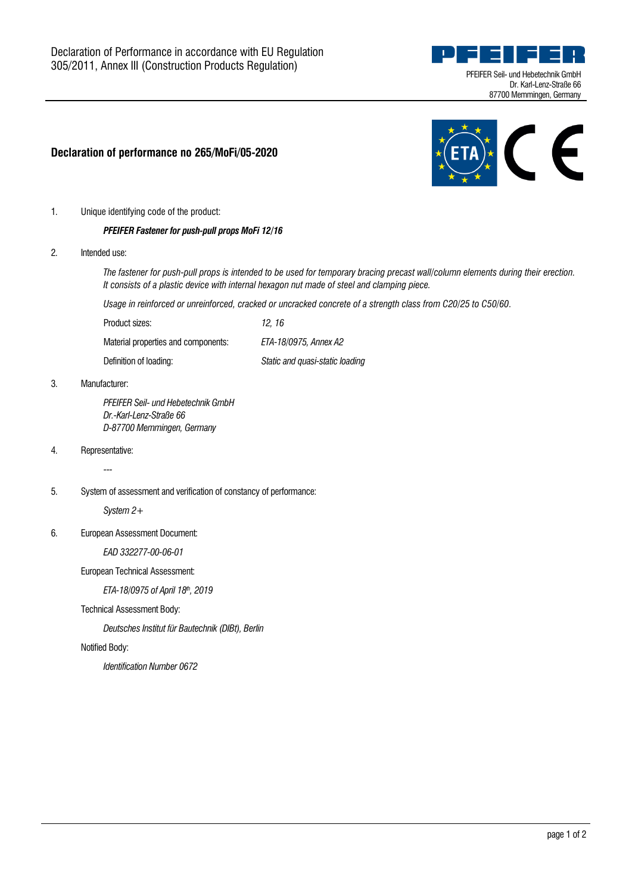



## **Declaration of performance no 265/MoFi/05-2020**

1. Unique identifying code of the product:

## *PFEIFER Fastener for push-pull props MoFi 12/16*

## 2. Intended use:

*The fastener for push-pull props is intended to be used for temporary bracing precast wall/column elements during their erection. It consists of a plastic device with internal hexagon nut made of steel and clamping piece.*

*Usage in reinforced or unreinforced, cracked or uncracked concrete of a strength class from C20/25 to C50/60.*

Product sizes: *12, 16*

Material properties and components: *ETA-18/0975, Annex A2*

Definition of loading: *Static and quasi-static loading*

3. Manufacturer:

*PFEIFER Seil- und Hebetechnik GmbH Dr.-Karl-Lenz-Straße 66 D-87700 Memmingen, Germany*

4. Representative:

*---*

5. System of assessment and verification of constancy of performance:

*System 2+*

6. European Assessment Document:

*EAD 332277-00-06-01*

European Technical Assessment:

*ETA-18/0975 of April 18th, 2019*

Technical Assessment Body:

*Deutsches Institut für Bautechnik (DIBt), Berlin*

Notified Body:

*Identification Number 0672*